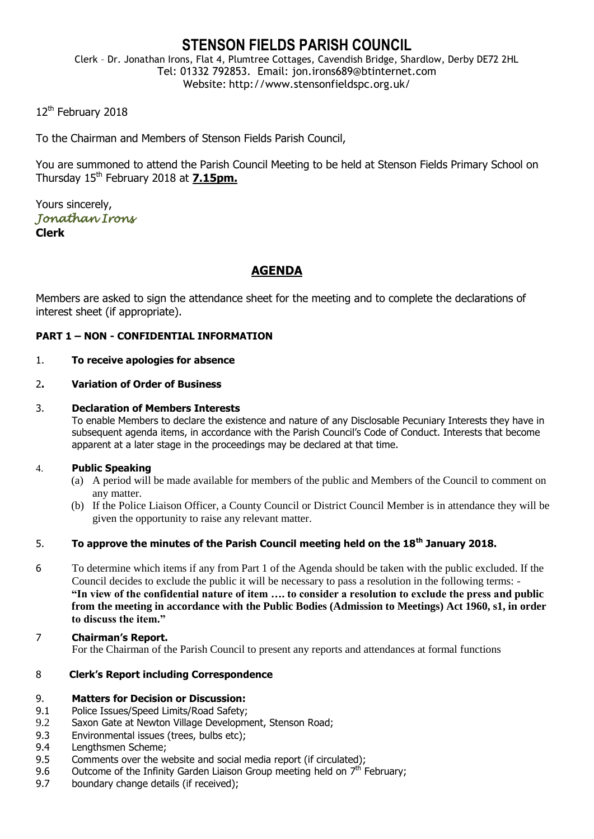# **STENSON FIELDS PARISH COUNCIL**

Clerk – Dr. Jonathan Irons, Flat 4, Plumtree Cottages, Cavendish Bridge, Shardlow, Derby DE72 2HL Tel: 01332 792853. Email: jon.irons689@btinternet.com Website: http://www.stensonfieldspc.org.uk/

12<sup>th</sup> February 2018

To the Chairman and Members of Stenson Fields Parish Council,

You are summoned to attend the Parish Council Meeting to be held at Stenson Fields Primary School on Thursday 15th February 2018 at **7.15pm.**

Yours sincerely, *Jonathan Irons*  **Clerk**

## **AGENDA**

Members are asked to sign the attendance sheet for the meeting and to complete the declarations of interest sheet (if appropriate).

## **PART 1 – NON - CONFIDENTIAL INFORMATION**

#### 1. **To receive apologies for absence**

#### 2**. Variation of Order of Business**

#### 3. **Declaration of Members Interests**

To enable Members to declare the existence and nature of any Disclosable Pecuniary Interests they have in subsequent agenda items, in accordance with the Parish Council's Code of Conduct. Interests that become apparent at a later stage in the proceedings may be declared at that time.

#### 4. **Public Speaking**

- (a) A period will be made available for members of the public and Members of the Council to comment on any matter.
- (b) If the Police Liaison Officer, a County Council or District Council Member is in attendance they will be given the opportunity to raise any relevant matter.

## 5. **To approve the minutes of the Parish Council meeting held on the 18th January 2018.**

- 6 To determine which items if any from Part 1 of the Agenda should be taken with the public excluded. If the Council decides to exclude the public it will be necessary to pass a resolution in the following terms: - **"In view of the confidential nature of item …. to consider a resolution to exclude the press and public from the meeting in accordance with the Public Bodies (Admission to Meetings) Act 1960, s1, in order to discuss the item."**
- 7 **Chairman's Report.** For the Chairman of the Parish Council to present any reports and attendances at formal functions

#### 8 **Clerk's Report including Correspondence**

#### 9. **Matters for Decision or Discussion:**

- 9.1 Police Issues/Speed Limits/Road Safety;
- 9.2 Saxon Gate at Newton Village Development, Stenson Road;
- 9.3 Environmental issues (trees, bulbs etc);
- 9.4 Lengthsmen Scheme;
- 9.5 Comments over the website and social media report (if circulated);
- 9.6 Outcome of the Infinity Garden Liaison Group meeting held on  $7<sup>th</sup>$  February;
- 9.7 boundary change details (if received);